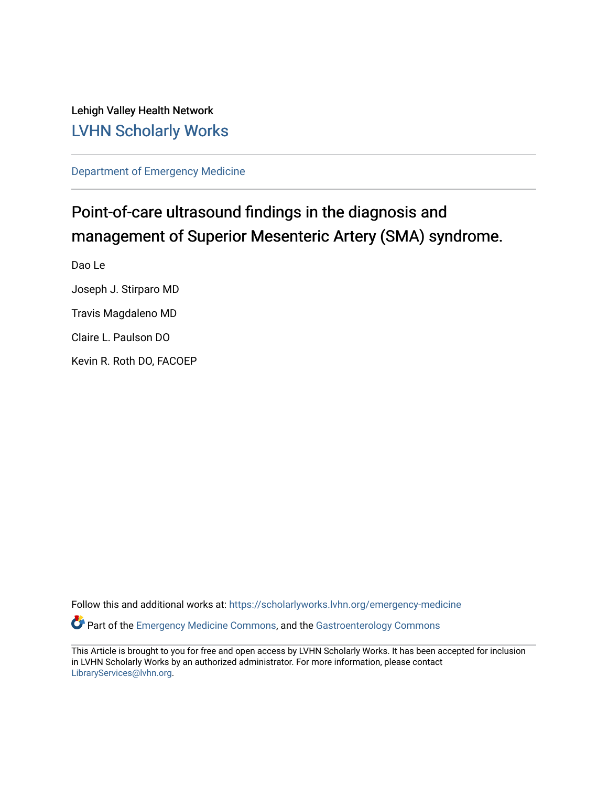Lehigh Valley Health Network [LVHN Scholarly Works](https://scholarlyworks.lvhn.org/)

[Department of Emergency Medicine](https://scholarlyworks.lvhn.org/emergency-medicine)

# Point-of-care ultrasound findings in the diagnosis and management of Superior Mesenteric Artery (SMA) syndrome.

Dao Le

Joseph J. Stirparo MD

Travis Magdaleno MD

Claire L. Paulson DO

Kevin R. Roth DO, FACOEP

Follow this and additional works at: [https://scholarlyworks.lvhn.org/emergency-medicine](https://scholarlyworks.lvhn.org/emergency-medicine?utm_source=scholarlyworks.lvhn.org%2Femergency-medicine%2F719&utm_medium=PDF&utm_campaign=PDFCoverPages)  Part of the [Emergency Medicine Commons](http://network.bepress.com/hgg/discipline/685?utm_source=scholarlyworks.lvhn.org%2Femergency-medicine%2F719&utm_medium=PDF&utm_campaign=PDFCoverPages), and the [Gastroenterology Commons](http://network.bepress.com/hgg/discipline/687?utm_source=scholarlyworks.lvhn.org%2Femergency-medicine%2F719&utm_medium=PDF&utm_campaign=PDFCoverPages)

This Article is brought to you for free and open access by LVHN Scholarly Works. It has been accepted for inclusion in LVHN Scholarly Works by an authorized administrator. For more information, please contact [LibraryServices@lvhn.org](mailto:LibraryServices@lvhn.org).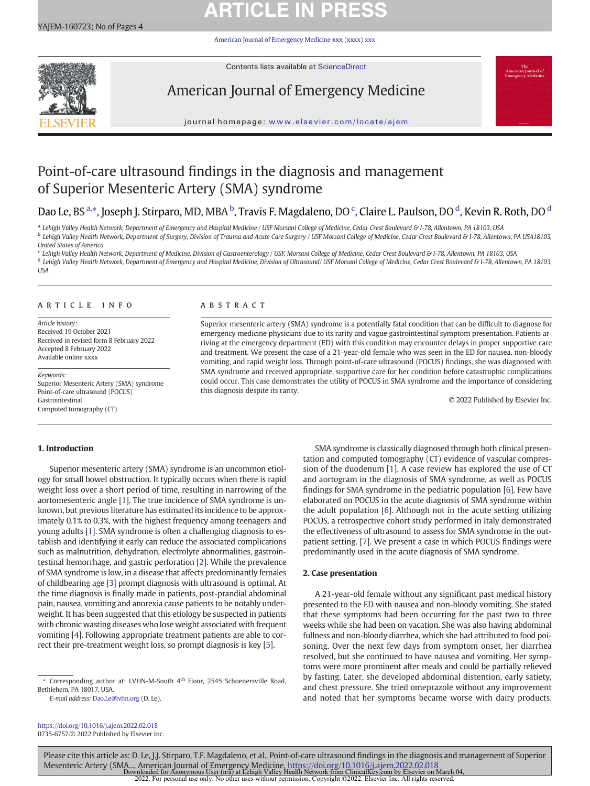# **ARTICLE IN PRES**

[American Journal of Emergency Medicine xxx \(xxxx\) xxx](https://doi.org/10.1016/j.ajem.2022.02.018)



Contents lists available at ScienceDirect

# American Journal of Emergency Medicine



journal homepage: <www.elsevier.com/locate/ajem>

## Point-of-care ultrasound findings in the diagnosis and management of Superior Mesenteric Artery (SMA) syndrome

## Dao Le, BS a,\*, Joseph J. Stirparo, MD, MBA <sup>b</sup>, Travis F. Magdaleno, DO <sup>c</sup>, Claire L. Paulson, DO <sup>d</sup>, Kevin R. Roth, DO <sup>d</sup>

<sup>a</sup> Lehigh Valley Health Network, Department of Emergency and Hospital Medicine / USF Morsani College of Medicine, Cedar Crest Boulevard & I-78, Allentown, PA 18103, USA **b** Lehigh Valley Health Network, Department of Surgery, Division of Trauma and Acute Care Surgery / USF Morsani College of Medicine, Cedar Crest Boulevard & I-78, Allentown, PA USA18103, United States of America

<sup>c</sup> Lehigh Valley Health Network, Department of Medicine, Division of Gastroenterology / USF, Morsani College of Medicine, Cedar Crest Boulevard & I-78, Allentown, PA 18103, USA d Lehigh Valley Health Network, Department of Emergency and Hospital Medicine, Division of Ultrasound/ USF Morsani College of Medicine, Cedar Crest Boulevard & I-78, Allentown, PA 18103, USA

### article info abstract

Article history: Received 19 October 2021 Received in revised form 8 February 2022 Accepted 8 February 2022 Available online xxxx

Keywords: Superior Mesenteric Artery (SMA) syndrome Point-of-care ultrasound (POCUS) Gastrointestinal Computed tomography (CT)

Superior mesenteric artery (SMA) syndrome is a potentially fatal condition that can be difficult to diagnose for emergency medicine physicians due to its rarity and vague gastrointestinal symptom presentation. Patients arriving at the emergency department (ED) with this condition may encounter delays in proper supportive care and treatment. We present the case of a 21-year-old female who was seen in the ED for nausea, non-bloody vomiting, and rapid weight loss. Through point-of-care ultrasound (POCUS) findings, she was diagnosed with SMA syndrome and received appropriate, supportive care for her condition before catastrophic complications could occur. This case demonstrates the utility of POCUS in SMA syndrome and the importance of considering this diagnosis despite its rarity.

© 2022 Published by Elsevier Inc.

### 1. Introduction

Superior mesenteric artery (SMA) syndrome is an uncommon etiology for small bowel obstruction. It typically occurs when there is rapid weight loss over a short period of time, resulting in narrowing of the aortomesenteric angle [\[1](#page-3-0)]. The true incidence of SMA syndrome is unknown, but previous literature has estimated its incidence to be approximately 0.1% to 0.3%, with the highest frequency among teenagers and young adults [[1](#page-3-0)]. SMA syndrome is often a challenging diagnosis to establish and identifying it early can reduce the associated complications such as malnutrition, dehydration, electrolyte abnormalities, gastrointestinal hemorrhage, and gastric perforation [\[2\]](#page-3-0). While the prevalence of SMA syndrome is low, in a disease that affects predominantly females of childbearing age [\[3\]](#page-3-0) prompt diagnosis with ultrasound is optimal. At the time diagnosis is finally made in patients, post-prandial abdominal pain, nausea, vomiting and anorexia cause patients to be notably underweight. It has been suggested that this etiology be suspected in patients with chronic wasting diseases who lose weight associated with frequent vomiting [\[4](#page-3-0)]. Following appropriate treatment patients are able to correct their pre-treatment weight loss, so prompt diagnosis is key [[5](#page-4-0)].

E-mail address: [Dao.Le@lvhn.org](mailto:Dao.Le@lvhn.org) (D. Le).

<https://doi.org/10.1016/j.ajem.2022.02.018> 0735-6757/© 2022 Published by Elsevier Inc.

SMA syndrome is classically diagnosed through both clinical presentation and computed tomography (CT) evidence of vascular compression of the duodenum [\[1\]](#page-3-0). A case review has explored the use of CT and aortogram in the diagnosis of SMA syndrome, as well as POCUS findings for SMA syndrome in the pediatric population [\[6\]](#page-4-0). Few have elaborated on POCUS in the acute diagnosis of SMA syndrome within the adult population [\[6\]](#page-4-0). Although not in the acute setting utilizing POCUS, a retrospective cohort study performed in Italy demonstrated the effectiveness of ultrasound to assess for SMA syndrome in the outpatient setting. [\[7\]](#page-4-0). We present a case in which POCUS findings were predominantly used in the acute diagnosis of SMA syndrome.

### 2. Case presentation

A 21-year-old female without any significant past medical history presented to the ED with nausea and non-bloody vomiting. She stated that these symptoms had been occurring for the past two to three weeks while she had been on vacation. She was also having abdominal fullness and non-bloody diarrhea, which she had attributed to food poisoning. Over the next few days from symptom onset, her diarrhea resolved, but she continued to have nausea and vomiting. Her symptoms were more prominent after meals and could be partially relieved by fasting. Later, she developed abdominal distention, early satiety, and chest pressure. She tried omeprazole without any improvement and noted that her symptoms became worse with dairy products.

Please cite this article as: D. Le, J.J. Stirparo, T.F. Magdaleno, et al., Point-of-care ultrasound findings in the diagnosis and management of Superior Mesenteric Artery (SMA..., American Journal of Emergency Medicine, <https://doi.org/10.1016/j.ajem.2022.02.018><br>Downloaded for Anonymous User (n/a) at Lehigh Valley Health Network from ClinicalKey.com by Elsevier on March<br>20

Corresponding author at: LVHN-M-South 4<sup>th</sup> Floor, 2545 Schoenersville Road, Bethlehem, PA 18017, USA.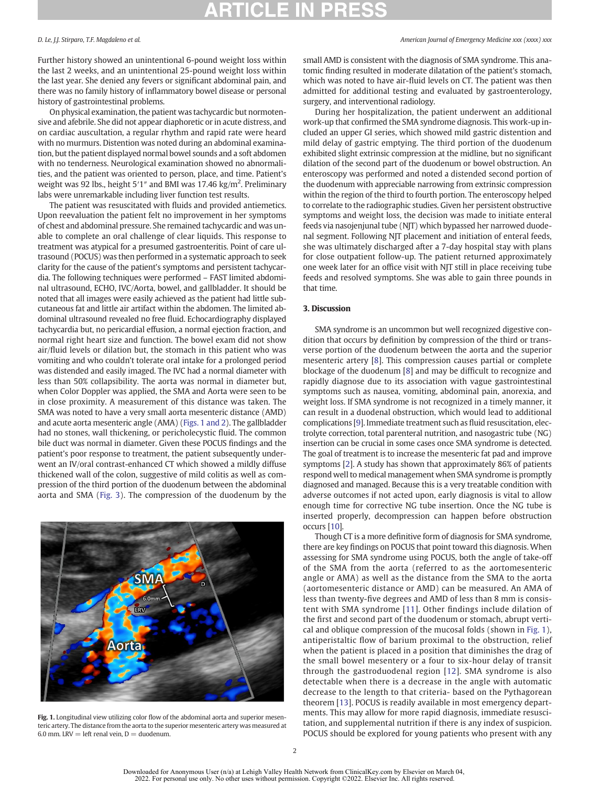Further history showed an unintentional 6-pound weight loss within the last 2 weeks, and an unintentional 25-pound weight loss within the last year. She denied any fevers or significant abdominal pain, and there was no family history of inflammatory bowel disease or personal history of gastrointestinal problems.

On physical examination, the patient was tachycardic but normotensive and afebrile. She did not appear diaphoretic or in acute distress, and on cardiac auscultation, a regular rhythm and rapid rate were heard with no murmurs. Distention was noted during an abdominal examination, but the patient displayed normal bowel sounds and a soft abdomen with no tenderness. Neurological examination showed no abnormalities, and the patient was oriented to person, place, and time. Patient's weight was 92 lbs., height 5'1" and BMI was 17.46 kg/m<sup>2</sup>. Preliminary labs were unremarkable including liver function test results.

The patient was resuscitated with fluids and provided antiemetics. Upon reevaluation the patient felt no improvement in her symptoms of chest and abdominal pressure. She remained tachycardic and was unable to complete an oral challenge of clear liquids. This response to treatment was atypical for a presumed gastroenteritis. Point of care ultrasound (POCUS) was then performed in a systematic approach to seek clarity for the cause of the patient's symptoms and persistent tachycardia. The following techniques were performed – FAST limited abdominal ultrasound, ECHO, IVC/Aorta, bowel, and gallbladder. It should be noted that all images were easily achieved as the patient had little subcutaneous fat and little air artifact within the abdomen. The limited abdominal ultrasound revealed no free fluid. Echocardiography displayed tachycardia but, no pericardial effusion, a normal ejection fraction, and normal right heart size and function. The bowel exam did not show air/fluid levels or dilation but, the stomach in this patient who was vomiting and who couldn't tolerate oral intake for a prolonged period was distended and easily imaged. The IVC had a normal diameter with less than 50% collapsibility. The aorta was normal in diameter but, when Color Doppler was applied, the SMA and Aorta were seen to be in close proximity. A measurement of this distance was taken. The SMA was noted to have a very small aorta mesenteric distance (AMD) and acute aorta mesenteric angle (AMA) (Figs. 1 and 2). The gallbladder had no stones, wall thickening, or pericholecystic fluid. The common bile duct was normal in diameter. Given these POCUS findings and the patient's poor response to treatment, the patient subsequently underwent an IV/oral contrast-enhanced CT which showed a mildly diffuse thickened wall of the colon, suggestive of mild colitis as well as compression of the third portion of the duodenum between the abdominal aorta and SMA ([Fig. 3](#page-3-0)). The compression of the duodenum by the



Fig. 1. Longitudinal view utilizing color flow of the abdominal aorta and superior mesenteric artery. The distance from the aorta to the superior mesenteric artery was measured at 6.0 mm. LRV = left renal vein,  $D =$  duodenum.

### D. Le, J.J. Stirparo, T.F. Magdaleno et al. American Journal of Emergency Medicine xxx (xxxx) xxx

small AMD is consistent with the diagnosis of SMA syndrome. This anatomic finding resulted in moderate dilatation of the patient's stomach, which was noted to have air-fluid levels on CT. The patient was then admitted for additional testing and evaluated by gastroenterology, surgery, and interventional radiology.

During her hospitalization, the patient underwent an additional work-up that confirmed the SMA syndrome diagnosis. This work-up included an upper GI series, which showed mild gastric distention and mild delay of gastric emptying. The third portion of the duodenum exhibited slight extrinsic compression at the midline, but no significant dilation of the second part of the duodenum or bowel obstruction. An enteroscopy was performed and noted a distended second portion of the duodenum with appreciable narrowing from extrinsic compression within the region of the third to fourth portion. The enteroscopy helped to correlate to the radiographic studies. Given her persistent obstructive symptoms and weight loss, the decision was made to initiate enteral feeds via nasojenjunal tube (NJT) which bypassed her narrowed duodenal segment. Following NJT placement and initiation of enteral feeds, she was ultimately discharged after a 7-day hospital stay with plans for close outpatient follow-up. The patient returned approximately one week later for an office visit with NJT still in place receiving tube feeds and resolved symptoms. She was able to gain three pounds in that time.

### 3. Discussion

SMA syndrome is an uncommon but well recognized digestive condition that occurs by definition by compression of the third or transverse portion of the duodenum between the aorta and the superior mesenteric artery [[8\]](#page-4-0). This compression causes partial or complete blockage of the duodenum [[8](#page-4-0)] and may be difficult to recognize and rapidly diagnose due to its association with vague gastrointestinal symptoms such as nausea, vomiting, abdominal pain, anorexia, and weight loss. If SMA syndrome is not recognized in a timely manner, it can result in a duodenal obstruction, which would lead to additional complications [[9](#page-4-0)]. Immediate treatment such as fluid resuscitation, electrolyte correction, total parenteral nutrition, and nasogastric tube (NG) insertion can be crucial in some cases once SMA syndrome is detected. The goal of treatment is to increase the mesenteric fat pad and improve symptoms [[2](#page-3-0)]. A study has shown that approximately 86% of patients respond well to medical management when SMA syndrome is promptly diagnosed and managed. Because this is a very treatable condition with adverse outcomes if not acted upon, early diagnosis is vital to allow enough time for corrective NG tube insertion. Once the NG tube is inserted properly, decompression can happen before obstruction occurs [[10\]](#page-4-0).

Though CT is a more definitive form of diagnosis for SMA syndrome, there are key findings on POCUS that point toward this diagnosis. When assessing for SMA syndrome using POCUS, both the angle of take-off of the SMA from the aorta (referred to as the aortomesenteric angle or AMA) as well as the distance from the SMA to the aorta (aortomesenteric distance or AMD) can be measured. An AMA of less than twenty-five degrees and AMD of less than 8 mm is consistent with SMA syndrome [[11](#page-4-0)]. Other findings include dilation of the first and second part of the duodenum or stomach, abrupt vertical and oblique compression of the mucosal folds (shown in Fig. 1), antiperistaltic flow of barium proximal to the obstruction, relief when the patient is placed in a position that diminishes the drag of the small bowel mesentery or a four to six-hour delay of transit through the gastroduodenal region [\[12\]](#page-4-0). SMA syndrome is also detectable when there is a decrease in the angle with automatic decrease to the length to that criteria- based on the Pythagorean theorem [[13](#page-4-0)]. POCUS is readily available in most emergency departments. This may allow for more rapid diagnosis, immediate resuscitation, and supplemental nutrition if there is any index of suspicion. POCUS should be explored for young patients who present with any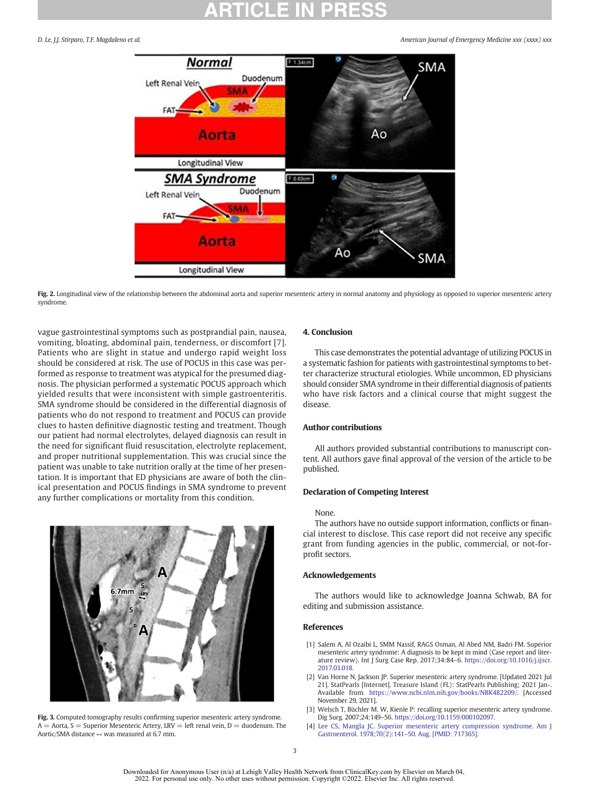<span id="page-3-0"></span>D. Le, J.J. Stirparo, T.F. Magdaleno et al. American Journal of Emergency Medicine xxx (xxxx) xxx





vague gastrointestinal symptoms such as postprandial pain, nausea, vomiting, bloating, abdominal pain, tenderness, or discomfort [[7](#page-4-0)]. Patients who are slight in statue and undergo rapid weight loss should be considered at risk. The use of POCUS in this case was performed as response to treatment was atypical for the presumed diagnosis. The physician performed a systematic POCUS approach which yielded results that were inconsistent with simple gastroenteritis. SMA syndrome should be considered in the differential diagnosis of patients who do not respond to treatment and POCUS can provide clues to hasten definitive diagnostic testing and treatment. Though our patient had normal electrolytes, delayed diagnosis can result in the need for significant fluid resuscitation, electrolyte replacement, and proper nutritional supplementation. This was crucial since the patient was unable to take nutrition orally at the time of her presentation. It is important that ED physicians are aware of both the clinical presentation and POCUS findings in SMA syndrome to prevent any further complications or mortality from this condition.





#### 4. Conclusion

This case demonstrates the potential advantage of utilizing POCUS in a systematic fashion for patients with gastrointestinal symptoms to better characterize structural etiologies. While uncommon, ED physicians should consider SMA syndrome in their differential diagnosis of patients who have risk factors and a clinical course that might suggest the disease.

### Author contributions

All authors provided substantial contributions to manuscript content. All authors gave final approval of the version of the article to be published.

### Declaration of Competing Interest

#### None.

The authors have no outside support information, conflicts or financial interest to disclose. This case report did not receive any specific grant from funding agencies in the public, commercial, or not-forprofit sectors.

### Acknowledgements

The authors would like to acknowledge Joanna Schwab, BA for editing and submission assistance.

#### References

- [1] Salem A, Al Ozaibi L, SMM Nassif, RAGS Osman, Al Abed NM, Badri FM. Superior mesenteric artery syndrome: A diagnosis to be kept in mind (Case report and literature review). Int J Surg Case Rep. 2017;34:84–6. [https://doi.org/10.1016/j.ijscr.](https://doi.org/10.1016/j.ijscr.2017.03.018) [2017.03.018.](https://doi.org/10.1016/j.ijscr.2017.03.018)
- [2] Van Horne N, Jackson JP. Superior mesenteric artery syndrome. [Updated 2021 Jul 21]. StatPearls [Internet]. Treasure Island (FL): StatPearls Publishing; 2021 Jan-. Available from. <https://www.ncbi.nlm.nih.gov/books/NBK482209/>. [Accessed November 29, 2021].
- [3] Welsch T, Büchler M. W, Kienle P: recalling superior mesenteric artery syndrome. Dig Surg. 2007;24:149–56. [https://doi.org/10.1159/000102097.](https://doi.org/10.1159/000102097)
- [4] [Lee CS, Mangla JC. Superior mesenteric artery compression syndrome. Am J](http://refhub.elsevier.com/S0735-6757(22)00103-6/rf0020) [Gastroenterol. 1978;70\(2\):141](http://refhub.elsevier.com/S0735-6757(22)00103-6/rf0020)–50. Aug. [PMID: 717365].